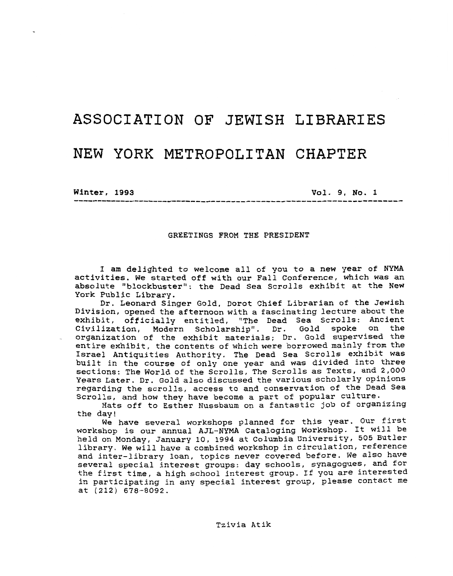# **ASSOCIATION OF** JEWISH **LIBRARIES**  NEW YORK **METROPOLITAN CHAPTER**

**Winter, 1993** 

**Vol. 9, No. 1** ...................................................................

#### GREETINGS FROM THE PRESIDENT

I am delighted to welcome all of you to a new year of NYMA activities. We started off with our Fall Conference, which was an absolute "blockbuster": the Dead Sea Scrolls exhibit at the New York Public Library.

Dr. Leonard Singer Gold, Dorot Chief Librarian of the Jewish Division, opened the afternoon with a fascinating lecture about the exhibit, officially entitled, "The Dead Sea Scrolls: Ancient Civilization, Modern Scholarship". Dr. Gold spoke on the organization of the exhibit materials; Dr. Gold supervised the entire exhibit, the contents of which were borrowed mainly from the Israel Antiquities Authority. The Dead Sea Scrolls exhibit was built **In** the course of only one year and was divided into three sections: The World of the Scrolls, The Scrolls as Texts, and *2,000*  Years Later. Dr. Gold also discussed the various scholarly opinions regarding the scrolls, access to and conservation of the Dead **Sea**  Scrolls, and how they have become a part of popular culture.

Hats off to Esther Nussbaum on a fantastic job of organizing the day!

We have several workshops planned for this year. Our first workshop is our annual AJL-NYMA Cataloging Workshop. It Will be held on Monday, January 10, 1994 at Columbia University, **505** Butler library. We will have a combined workshop in circulation, reference and inter-library loan, topics never covered before. We also have several special interest groups: day schools, synagogues, and for the first time, a high school interest group. If you are interested in participating in any special interest group, please contact me at **(212) 678-8092.**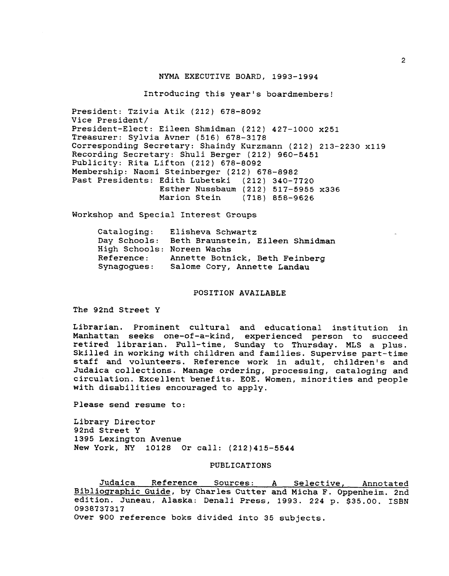#### NYMA EXECUTIVE BOARD, 1993-1994

Introducing this year's boardmembers!

President: Tzivia Atik (212) 678-8092 Vice President/ President-Elect: Eileen Shmidman (212) 427-1000 x251 Treasurer: Sylvia Avner (516) 678-3178 Corresponding Secretary: Shaindy Kurzmann (212) 213-2230 x119 Recording Secretary: Shuli Berger (212) 960-5451 Publicity: Rita Lifton (212) 678-8092 Membership: Naomi Steinberger (212) 678-8982 Past Presidents: Edith Lubetski (212) 340-7720 Esther Nussbaum (212) 517-5955 x336 (718) 858-9626

Workshop and Special Interest Groups

| Cataloging:                | Elisheva Schwartz                             |
|----------------------------|-----------------------------------------------|
|                            | Day Schools: Beth Braunstein, Eileen Shmidman |
| High Schools: Noreen Wachs |                                               |
| <b>Reference:</b>          | Annette Botnick, Beth Feinberg                |
| Synagogues:                | Salome Cory, Annette Landau                   |

#### POSITION AVAILABLE

The 92nd Street Y

Librarian. Prominent cultural and educational institution in Manhattan seeks one-of-a-kind, experienced person to succeed retired librarian. Full-time, Sunday to Thursday. MLS a plus. Skilled in working with children and families. Supervise part-time staff and volunteers. Reference work in adult, children's and Judaica collections. Manage ordering, processing, cataloging and circulation. Excellent benefits. EOE. Women, minorities and people with disabilities encouraged to apply.

Please send resume to:

Library Director 92nd Street Y 1395 Lexington Avenue New York, NY 10128 Or call: (212)415-5544

## PUBLICATIONS

Judaica Reference Sources: A Selective, Annotated Bibliographic Guide, by Charles Cutter and Micha F. Oppenheim. 2nd edition. Juneau, Alaska: Denali Press, 1993. 224 **p.** \$35.00. ISBN 0938737317 Over 900 reference boks divided into 35 subjects.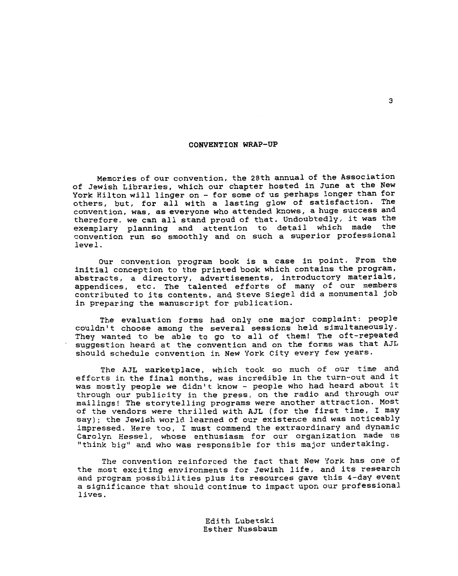### **CONVENTION WRAP-UP**

Memories of our convention, the 28th annual of the Association of Jewish Libraries, which our chapter hosted in June at the New York Hilton will linger on - for some of us perhaps longer than for others, but, for all with a lasting glow of satisfaction. The convention, was, as everyone who attended knows, a huge success and therefore, we can all stand proud of that. Undoubtedly, it was the exemplary planning and attention to detail which made the convention run so smoothly and on such a superior professional level.

Our convention program book is a case in point. From the initial conception to the printed book which contains the program, abstracts, a directory, advertisements, introductory materials, appendices, etc. The talented efforts of many of our members contributed to its contents, and Steve Siege1 did a monumental job in preparing the manuscript for publication.

The evaluation forms had only one major complaint: people couldn't choose among the several sessions held simultaneously. They wanted to be able to go to all of them! The oft-repeated suggestion heard at the convention and on the forms was that AJL should schedule convention in New York City every few years.

The AJL marketplace, which took *so* much of our time and efforts in the final. months, was incredible in the turn-out and it was mostly people we didn't know - people who had heard about it through our publicity in the press, on the radio and through our mailings! The storytelling programs were another attraction. Most of the vendors were thrilled with **AJL** (for the first time, I may say); the Jewish world learned of our existence and was noticeably impressed. Here too, I must commend the extraordinary and dynamic Carolyn Hessel, whose enthusiasm for our organization made us "think big" and who was responsible for this major undertaking.

The convention reinforced the fact that New York has one **of**  the most exciting environments for Jewish life, and its research and program possibilities plus its resources gave this 4-day event a significance that should continue to impact upon our professional lives.

> Edith Lubetski Esther Nussbaum